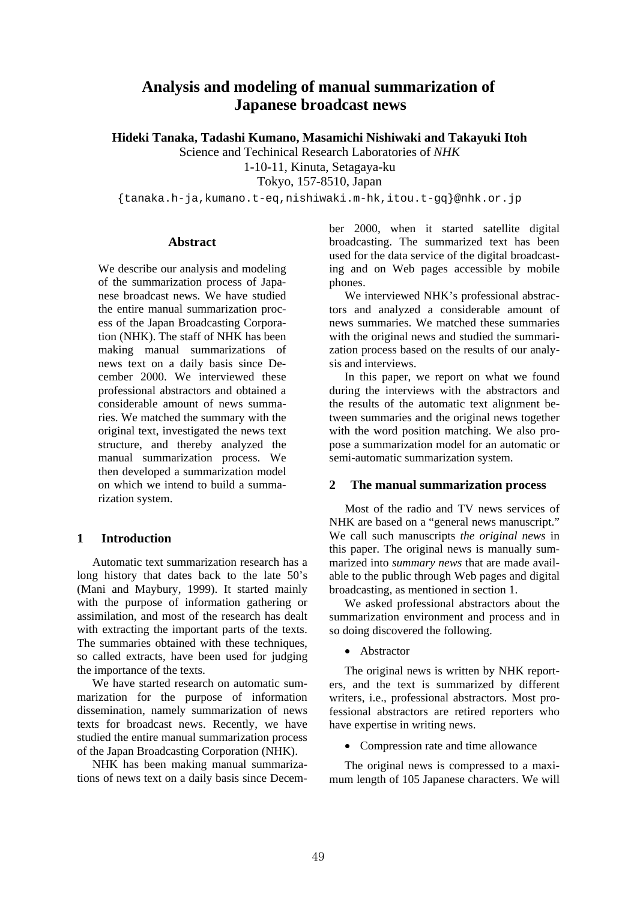# **Analysis and modeling of manual summarization of Japanese broadcast news**

**Hideki Tanaka, Tadashi Kumano, Masamichi Nishiwaki and Takayuki Itoh** 

Science and Techinical Research Laboratories of *NHK* 

1-10-11, Kinuta, Setagaya-ku

Tokyo, 157-8510, Japan

{tanaka.h-ja,kumano.t-eq,nishiwaki.m-hk,itou.t-gq}@nhk.or.jp

### **Abstract**

We describe our analysis and modeling of the summarization process of Japanese broadcast news. We have studied the entire manual summarization process of the Japan Broadcasting Corporation (NHK). The staff of NHK has been making manual summarizations of news text on a daily basis since December 2000. We interviewed these professional abstractors and obtained a considerable amount of news summaries. We matched the summary with the original text, investigated the news text structure, and thereby analyzed the manual summarization process. We then developed a summarization model on which we intend to build a summarization system.

# **1 Introduction**

Automatic text summarization research has a long history that dates back to the late 50's (Mani and Maybury, 1999). It started mainly with the purpose of information gathering or assimilation, and most of the research has dealt with extracting the important parts of the texts. The summaries obtained with these techniques, so called extracts, have been used for judging the importance of the texts.

We have started research on automatic summarization for the purpose of information dissemination, namely summarization of news texts for broadcast news. Recently, we have studied the entire manual summarization process of the Japan Broadcasting Corporation (NHK).

NHK has been making manual summarizations of news text on a daily basis since December 2000, when it started satellite digital broadcasting. The summarized text has been used for the data service of the digital broadcasting and on Web pages accessible by mobile phones.

We interviewed NHK's professional abstractors and analyzed a considerable amount of news summaries. We matched these summaries with the original news and studied the summarization process based on the results of our analysis and interviews.

In this paper, we report on what we found during the interviews with the abstractors and the results of the automatic text alignment between summaries and the original news together with the word position matching. We also propose a summarization model for an automatic or semi-automatic summarization system.

# **2 The manual summarization process**

Most of the radio and TV news services of NHK are based on a "general news manuscript." We call such manuscripts *the original news* in this paper. The original news is manually summarized into *summary news* that are made available to the public through Web pages and digital broadcasting, as mentioned in section 1.

We asked professional abstractors about the summarization environment and process and in so doing discovered the following.

• Abstractor

The original news is written by NHK reporters, and the text is summarized by different writers, i.e., professional abstractors. Most professional abstractors are retired reporters who have expertise in writing news.

• Compression rate and time allowance

The original news is compressed to a maximum length of 105 Japanese characters. We will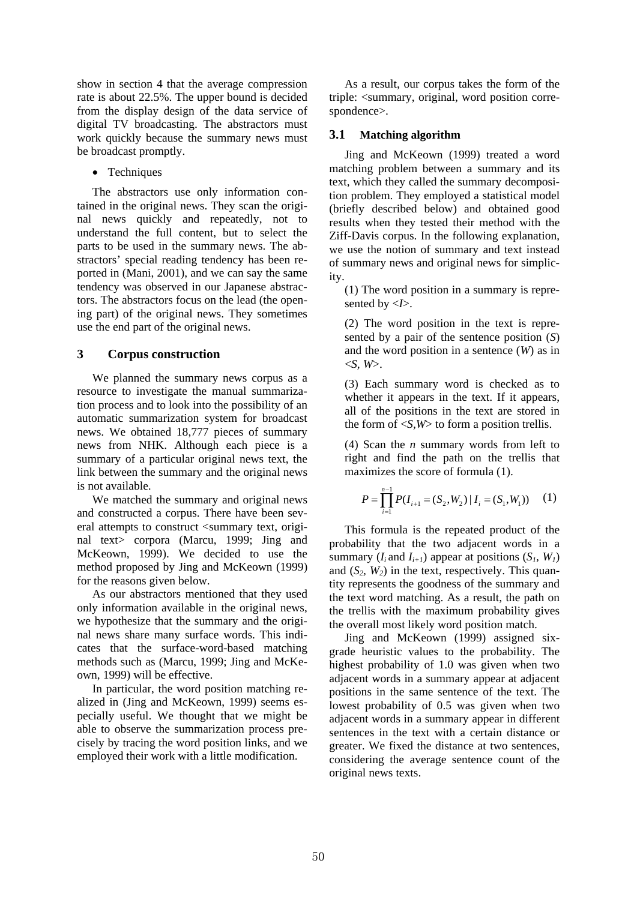show in section 4 that the average compression rate is about 22.5%. The upper bound is decided from the display design of the data service of digital TV broadcasting. The abstractors must work quickly because the summary news must be broadcast promptly.

• Techniques

The abstractors use only information contained in the original news. They scan the original news quickly and repeatedly, not to understand the full content, but to select the parts to be used in the summary news. The abstractors' special reading tendency has been reported in (Mani, 2001), and we can say the same tendency was observed in our Japanese abstractors. The abstractors focus on the lead (the opening part) of the original news. They sometimes use the end part of the original news.

# **3 Corpus construction**

We planned the summary news corpus as a resource to investigate the manual summarization process and to look into the possibility of an automatic summarization system for broadcast news. We obtained 18,777 pieces of summary news from NHK. Although each piece is a summary of a particular original news text, the link between the summary and the original news is not available.

We matched the summary and original news and constructed a corpus. There have been several attempts to construct <summary text, original text> corpora (Marcu, 1999; Jing and McKeown, 1999). We decided to use the method proposed by Jing and McKeown (1999) for the reasons given below.

As our abstractors mentioned that they used only information available in the original news, we hypothesize that the summary and the original news share many surface words. This indicates that the surface-word-based matching methods such as (Marcu, 1999; Jing and McKeown, 1999) will be effective.

In particular, the word position matching realized in (Jing and McKeown, 1999) seems especially useful. We thought that we might be able to observe the summarization process precisely by tracing the word position links, and we employed their work with a little modification.

As a result, our corpus takes the form of the triple: <summary, original, word position correspondence>.

# **3.1 Matching algorithm**

Jing and McKeown (1999) treated a word matching problem between a summary and its text, which they called the summary decomposition problem. They employed a statistical model (briefly described below) and obtained good results when they tested their method with the Ziff-Davis corpus. In the following explanation, we use the notion of summary and text instead of summary news and original news for simplicity.

(1) The word position in a summary is represented by  $\langle I \rangle$ .

(2) The word position in the text is represented by a pair of the sentence position (*S*) and the word position in a sentence (*W*) as in  $\langle S, W \rangle$ .

(3) Each summary word is checked as to whether it appears in the text. If it appears, all of the positions in the text are stored in the form of  $\langle S, W \rangle$  to form a position trellis.

(4) Scan the *n* summary words from left to right and find the path on the trellis that maximizes the score of formula (1).

$$
P = \prod_{i=1}^{n-1} P(I_{i+1} = (S_2, W_2) | I_i = (S_1, W_1)) \quad (1)
$$

This formula is the repeated product of the probability that the two adjacent words in a summary  $(I_i$  and  $I_{i+1}$ ) appear at positions  $(S_i, W_i)$ and  $(S_2, W_2)$  in the text, respectively. This quantity represents the goodness of the summary and the text word matching. As a result, the path on the trellis with the maximum probability gives the overall most likely word position match.

Jing and McKeown (1999) assigned sixgrade heuristic values to the probability. The highest probability of 1.0 was given when two adjacent words in a summary appear at adjacent positions in the same sentence of the text. The lowest probability of 0.5 was given when two adjacent words in a summary appear in different sentences in the text with a certain distance or greater. We fixed the distance at two sentences, considering the average sentence count of the original news texts.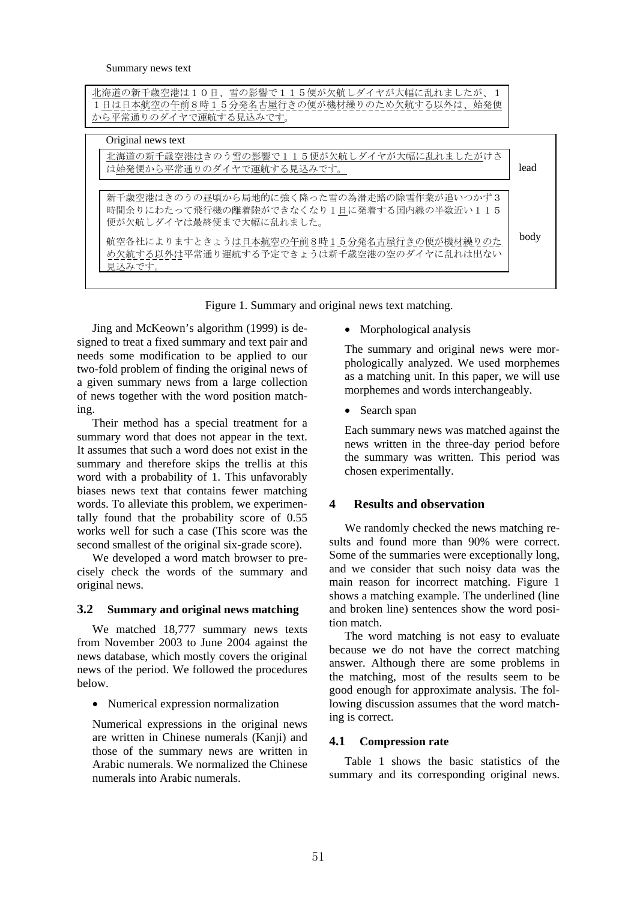| 北海道の新千歳空港は10日、雪の影響で115便が欠航しダイヤが大幅に乱れましたが、1<br>1日は日本航空の午前8時15分発名古屋行きの便が機材繰りのため欠航する以外は、始発便<br>から平常通りのダイヤで運航する見込みです。 |      |
|-------------------------------------------------------------------------------------------------------------------|------|
| Original news text                                                                                                |      |
| 北海道の新千歳空港はきのう雪の影響で115便が欠航しダイヤが大幅に乱れましたがけさ<br>は始発便から平常通りのダイヤで運航する見込みです。                                            | lead |
| 新千歳空港はきのうの昼頃から局地的に強く降った雪の為滑走路の除雪作業が追いつかず3                                                                         |      |
| 時間余りにわたって飛行機の離着陸ができなくなり1日に発着する国内線の半数近い115<br>便が欠航しダイヤは最終便まで大幅に乱れました。                                              |      |
| 航空各社によりますときょうは日本航空の午前8時15分発名古屋行きの便が機材繰りのた<br>め欠航する以外は平常通り運航する予定できょうは新千歳空港の空のダイヤに乱れは出ない<br>見込みです。                  | body |
|                                                                                                                   |      |

Figure 1. Summary and original news text matching.

Jing and McKeown's algorithm (1999) is designed to treat a fixed summary and text pair and needs some modification to be applied to our two-fold problem of finding the original news of a given summary news from a large collection of news together with the word position matching.

Their method has a special treatment for a summary word that does not appear in the text. It assumes that such a word does not exist in the summary and therefore skips the trellis at this word with a probability of 1. This unfavorably biases news text that contains fewer matching words. To alleviate this problem, we experimentally found that the probability score of 0.55 works well for such a case (This score was the second smallest of the original six-grade score).

We developed a word match browser to precisely check the words of the summary and original news.

# **3.2 Summary and original news matching**

We matched 18,777 summary news texts from November 2003 to June 2004 against the news database, which mostly covers the original news of the period. We followed the procedures below.

• Numerical expression normalization

Numerical expressions in the original news are written in Chinese numerals (Kanji) and those of the summary news are written in Arabic numerals. We normalized the Chinese numerals into Arabic numerals.

• Morphological analysis

The summary and original news were morphologically analyzed. We used morphemes as a matching unit. In this paper, we will use morphemes and words interchangeably.

• Search span

Each summary news was matched against the news written in the three-day period before the summary was written. This period was chosen experimentally.

# **4 Results and observation**

We randomly checked the news matching results and found more than 90% were correct. Some of the summaries were exceptionally long, and we consider that such noisy data was the main reason for incorrect matching. Figure 1 shows a matching example. The underlined (line and broken line) sentences show the word position match.

The word matching is not easy to evaluate because we do not have the correct matching answer. Although there are some problems in the matching, most of the results seem to be good enough for approximate analysis. The following discussion assumes that the word matching is correct.

# **4.1 Compression rate**

Table 1 shows the basic statistics of the summary and its corresponding original news.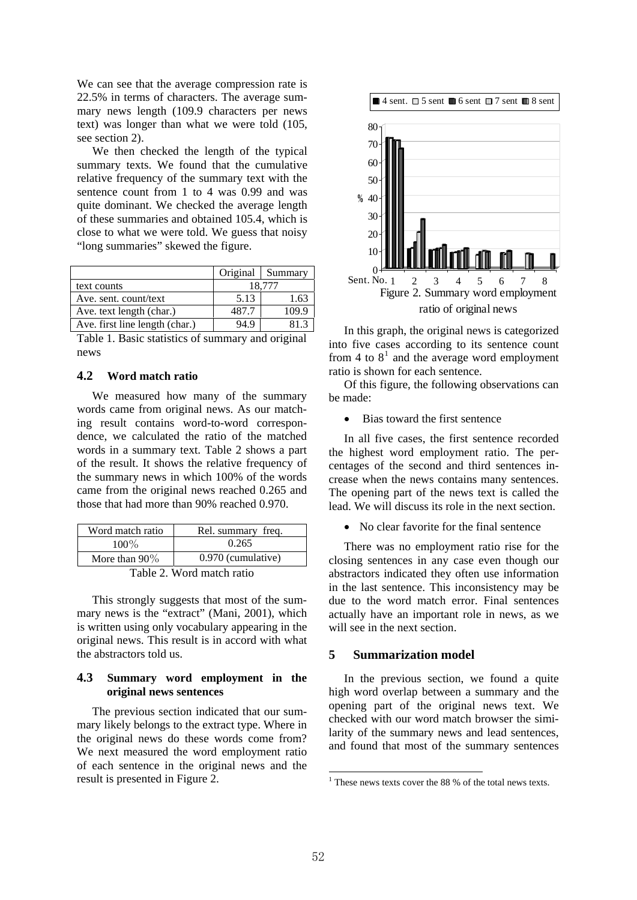We can see that the average compression rate is 22.5% in terms of characters. The average summary news length (109.9 characters per news text) was longer than what we were told (105, see section 2).

We then checked the length of the typical summary texts. We found that the cumulative relative frequency of the summary text with the sentence count from 1 to 4 was 0.99 and was quite dominant. We checked the average length of these summaries and obtained 105.4, which is close to what we were told. We guess that noisy "long summaries" skewed the figure.

|                                |        | Original Summary |
|--------------------------------|--------|------------------|
| text counts                    | 18.777 |                  |
| Ave. sent. count/text          | 5.13   | 1.63             |
| Ave. text length (char.)       | 487.7  | 109.9            |
| Ave. first line length (char.) | 94.9   | R 12             |

Table 1. Basic statistics of summary and original news

### **4.2 Word match ratio**

We measured how many of the summary words came from original news. As our matching result contains word-to-word correspondence, we calculated the ratio of the matched words in a summary text. Table 2 shows a part of the result. It shows the relative frequency of the summary news in which 100% of the words came from the original news reached 0.265 and those that had more than 90% reached 0.970.

| Word match ratio | Rel. summary freq. |  |
|------------------|--------------------|--|
| $100\%$          | 0.265              |  |
| More than $90\%$ | 0.970 (cumulative) |  |
| TT 11 A TT 7     |                    |  |

Table 2. Word match ratio

This strongly suggests that most of the summary news is the "extract" (Mani, 2001), which is written using only vocabulary appearing in the original news. This result is in accord with what the abstractors told us.

#### **4.3 Summary word employment in the original news sentences**

<span id="page-3-0"></span>The previous section indicated that our summary likely belongs to the extract type. Where in the original news do these words come from? We next measured the word employment ratio of each sentence in the original news and the result is presented in Figure 2.



In this graph, the original news is categorized into five cases according to its sentence count from 4 to  $8<sup>1</sup>$  $8<sup>1</sup>$  $8<sup>1</sup>$  and the average word employment ratio is shown for each sentence.

Of this figure, the following observations can be made:

• Bias toward the first sentence

In all five cases, the first sentence recorded the highest word employment ratio. The percentages of the second and third sentences increase when the news contains many sentences. The opening part of the news text is called the lead. We will discuss its role in the next section.

• No clear favorite for the final sentence

There was no employment ratio rise for the closing sentences in any case even though our abstractors indicated they often use information in the last sentence. This inconsistency may be due to the word match error. Final sentences actually have an important role in news, as we will see in the next section.

#### **5 Summarization model**

In the previous section, we found a quite high word overlap between a summary and the opening part of the original news text. We checked with our word match browser the similarity of the summary news and lead sentences, and found that most of the summary sentences

1

<sup>&</sup>lt;sup>1</sup> These news texts cover the 88 % of the total news texts.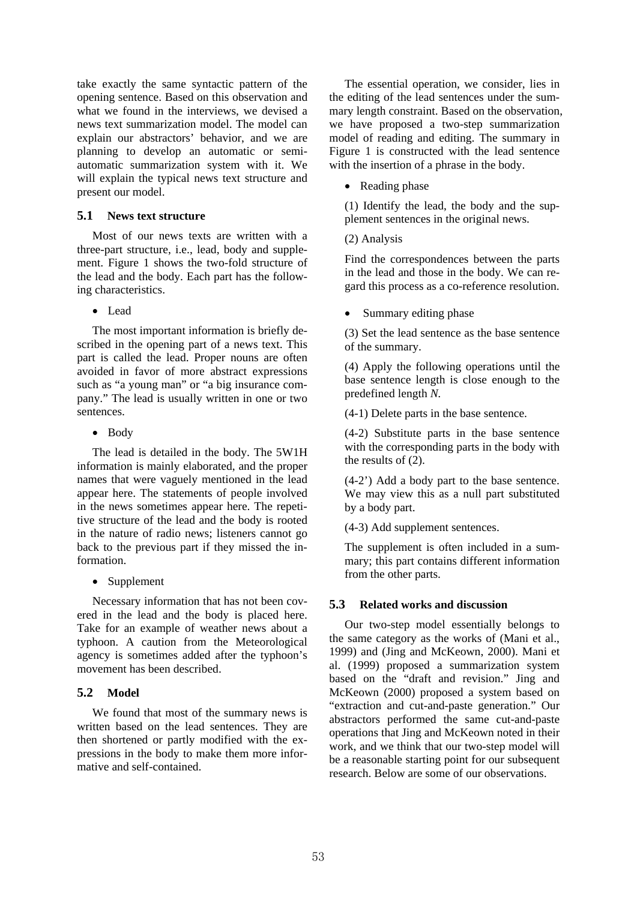take exactly the same syntactic pattern of the opening sentence. Based on this observation and what we found in the interviews, we devised a news text summarization model. The model can explain our abstractors' behavior, and we are planning to develop an automatic or semiautomatic summarization system with it. We will explain the typical news text structure and present our model.

### **5.1 News text structure**

Most of our news texts are written with a three-part structure, i.e., lead, body and supplement. Figure 1 shows the two-fold structure of the lead and the body. Each part has the following characteristics.

• Lead

The most important information is briefly described in the opening part of a news text. This part is called the lead. Proper nouns are often avoided in favor of more abstract expressions such as "a young man" or "a big insurance company." The lead is usually written in one or two sentences.

• Body

The lead is detailed in the body. The 5W1H information is mainly elaborated, and the proper names that were vaguely mentioned in the lead appear here. The statements of people involved in the news sometimes appear here. The repetitive structure of the lead and the body is rooted in the nature of radio news; listeners cannot go back to the previous part if they missed the information.

• Supplement

Necessary information that has not been covered in the lead and the body is placed here. Take for an example of weather news about a typhoon. A caution from the Meteorological agency is sometimes added after the typhoon's movement has been described.

# **5.2 Model**

We found that most of the summary news is written based on the lead sentences. They are then shortened or partly modified with the expressions in the body to make them more informative and self-contained.

The essential operation, we consider, lies in the editing of the lead sentences under the summary length constraint. Based on the observation, we have proposed a two-step summarization model of reading and editing. The summary in Figure 1 is constructed with the lead sentence with the insertion of a phrase in the body.

# • Reading phase

(1) Identify the lead, the body and the supplement sentences in the original news.

# (2) Analysis

Find the correspondences between the parts in the lead and those in the body. We can regard this process as a co-reference resolution.

Summary editing phase

(3) Set the lead sentence as the base sentence of the summary.

(4) Apply the following operations until the base sentence length is close enough to the predefined length *N.*

(4-1) Delete parts in the base sentence.

(4-2) Substitute parts in the base sentence with the corresponding parts in the body with the results of (2).

(4-2') Add a body part to the base sentence. We may view this as a null part substituted by a body part.

(4-3) Add supplement sentences.

The supplement is often included in a summary; this part contains different information from the other parts.

# **5.3 Related works and discussion**

Our two-step model essentially belongs to the same category as the works of (Mani et al., 1999) and (Jing and McKeown, 2000). Mani et al. (1999) proposed a summarization system based on the "draft and revision." Jing and McKeown (2000) proposed a system based on "extraction and cut-and-paste generation." Our abstractors performed the same cut-and-paste operations that Jing and McKeown noted in their work, and we think that our two-step model will be a reasonable starting point for our subsequent research. Below are some of our observations.